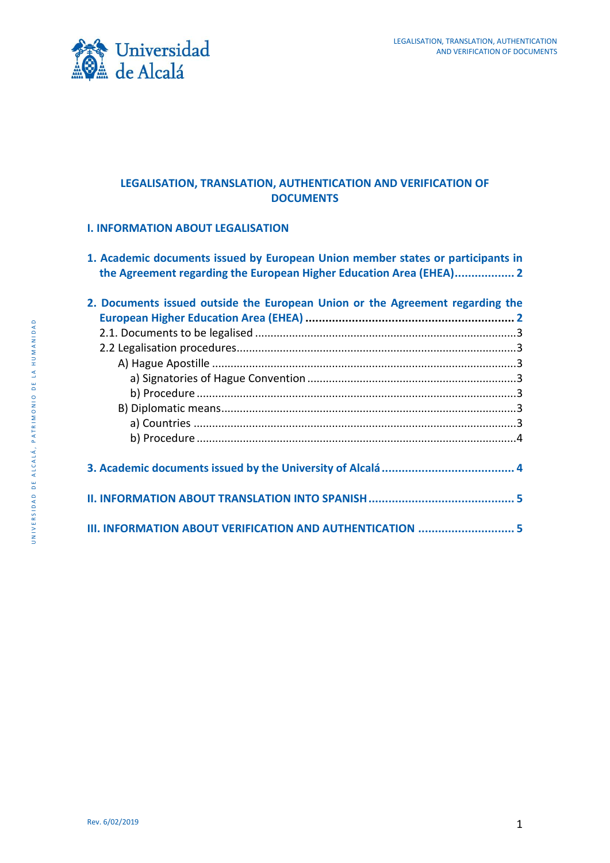

# **LEGALISATION, TRANSLATION, AUTHENTICATION AND VERIFICATION OF DOCUMENTS**

### **I. [INFORMATION ABOUT LEGALISATION](#page-1-0)**

**1. [Academic documents issued by European Union member states or participants in](#page-1-1)  [the Agreement regarding the European Higher Education Area \(EHEA\)..................](#page-1-1) 2**

| 2. Documents issued outside the European Union or the Agreement regarding the |
|-------------------------------------------------------------------------------|
|                                                                               |
|                                                                               |
|                                                                               |
|                                                                               |
|                                                                               |
|                                                                               |
|                                                                               |
|                                                                               |
|                                                                               |
|                                                                               |
|                                                                               |
|                                                                               |
|                                                                               |
|                                                                               |
| III. INFORMATION ABOUT VERIFICATION AND AUTHENTICATION  5                     |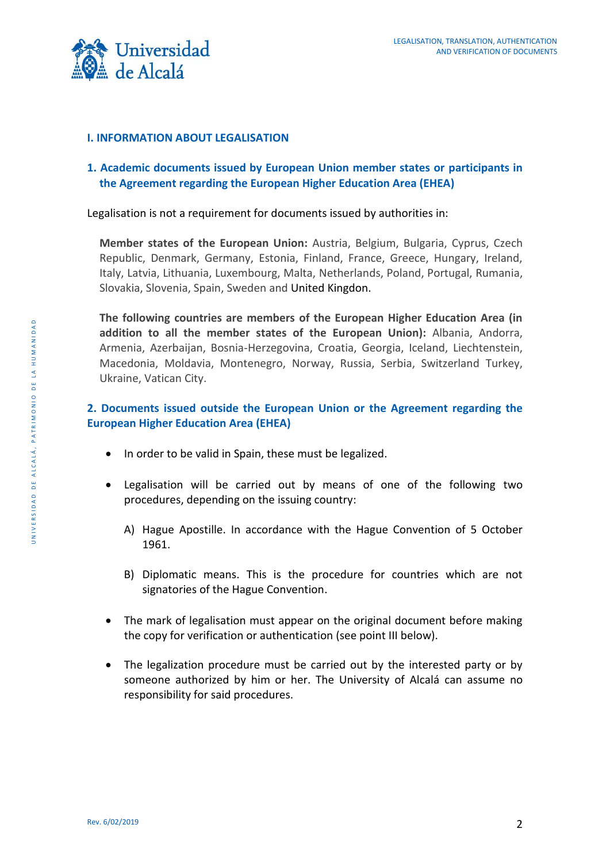

## <span id="page-1-0"></span>**I. INFORMATION ABOUT LEGALISATION**

# <span id="page-1-1"></span>**1. Academic documents issued by European Union member states or participants in the Agreement regarding the European Higher Education Area (EHEA)**

Legalisation is not a requirement for documents issued by authorities in:

**Member states of the European Union:** Austria, Belgium, Bulgaria, Cyprus, Czech Republic, Denmark, Germany, Estonia, Finland, France, Greece, Hungary, Ireland, Italy, Latvia, Lithuania, Luxembourg, Malta, Netherlands, Poland, Portugal, Rumania, Slovakia, Slovenia, Spain, Sweden and United Kingdon.

**The following countries are members of the European Higher Education Area (in addition to all the member states of the European Union):** Albania, Andorra, Armenia, Azerbaijan, Bosnia-Herzegovina, Croatia, Georgia, Iceland, Liechtenstein, Macedonia, Moldavia, Montenegro, Norway, Russia, Serbia, Switzerland Turkey, Ukraine, Vatican City.

# <span id="page-1-2"></span>**2. Documents issued outside the European Union or the Agreement regarding the European Higher Education Area (EHEA)**

- In order to be valid in Spain, these must be legalized.
- Legalisation will be carried out by means of one of the following two procedures, depending on the issuing country:
	- A) Hague Apostille. In accordance with the Hague Convention of 5 October 1961.
	- B) Diplomatic means. This is the procedure for countries which are not signatories of the Hague Convention.
- The mark of legalisation must appear on the original document before making the copy for verification or authentication (see point III below).
- The legalization procedure must be carried out by the interested party or by someone authorized by him or her. The University of Alcalá can assume no responsibility for said procedures.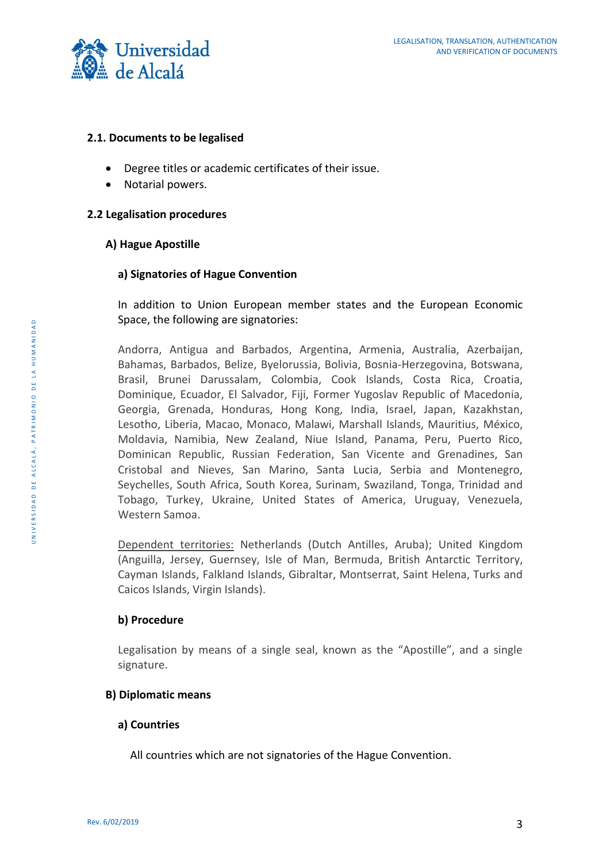

### <span id="page-2-0"></span>**2.1. Documents to be legalised**

- Degree titles or academic certificates of their issue.
- Notarial powers.

#### <span id="page-2-1"></span>**2.2 Legalisation procedures**

#### <span id="page-2-2"></span>**A) Hague Apostille**

## <span id="page-2-3"></span>**a) Signatories of Hague Convention**

In addition to Union European member states and the European Economic Space, the following are signatories:

Andorra, Antigua and Barbados, Argentina, Armenia, Australia, Azerbaijan, Bahamas, Barbados, Belize, Byelorussia, Bolivia, Bosnia-Herzegovina, Botswana, Brasil, Brunei Darussalam, Colombia, Cook Islands, Costa Rica, Croatia, Dominique, Ecuador, El Salvador, Fiji, Former Yugoslav Republic of Macedonia, Georgia, Grenada, Honduras, Hong Kong, India, Israel, Japan, Kazakhstan, Lesotho, Liberia, Macao, Monaco, Malawi, Marshall Islands, Mauritius, México, Moldavia, Namibia, New Zealand, Niue Island, Panama, Peru, Puerto Rico, Dominican Republic, Russian Federation, San Vicente and Grenadines, San Cristobal and Nieves, San Marino, Santa Lucia, Serbia and Montenegro, Seychelles, South Africa, South Korea, Surinam, Swaziland, Tonga, Trinidad and Tobago, Turkey, Ukraine, United States of America, Uruguay, Venezuela, Western Samoa.

Dependent territories: Netherlands (Dutch Antilles, Aruba); United Kingdom (Anguilla, Jersey, Guernsey, Isle of Man, Bermuda, British Antarctic Territory, Cayman Islands, Falkland Islands, Gibraltar, Montserrat, Saint Helena, Turks and Caicos Islands, Virgin Islands).

#### <span id="page-2-4"></span>**b) Procedure**

Legalisation by means of a single seal, known as the "Apostille", and a single signature.

# **B) Diplomatic means**

#### **a) Countries**

All countries which are not signatories of the Hague Convention.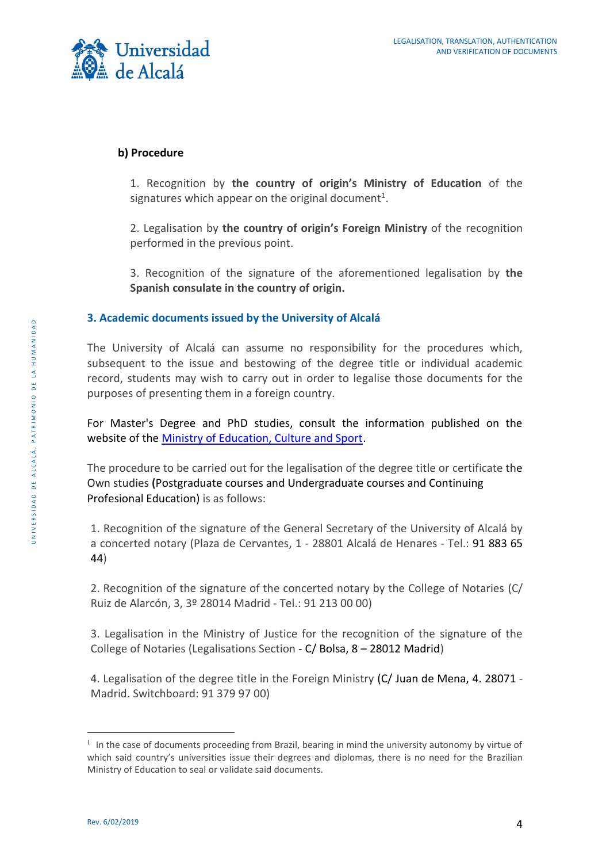

# <span id="page-3-0"></span>**b) Procedure**

1. Recognition by **the country of origin's Ministry of Education** of the signatures which appear on the original document<sup>1</sup>.

2. Legalisation by **the country of origin's Foreign Ministry** of the recognition performed in the previous point.

3. Recognition of the signature of the aforementioned legalisation by **the Spanish consulate in the country of origin.**

# <span id="page-3-1"></span>**3. Academic documents issued by the University of Alcalá**

The University of Alcalá can assume no responsibility for the procedures which, subsequent to the issue and bestowing of the degree title or individual academic record, students may wish to carry out in order to legalise those documents for the purposes of presenting them in a foreign country.

For Master's Degree and PhD studies, consult the information published on the website of the [Ministry of Education, Culture and Sport.](http://www.mecd.gob.es/servicios-al-ciudadano-mecd/catalogo/educacion/gestion-titulos/estudios-universitarios/titulos-espanoles/legalizacion-documentos-academicos-universitarios.html)

The procedure to be carried out for the legalisation of the degree title or certificate the Own studies **(**Postgraduate courses and Undergraduate courses and Continuing Profesional Education) is as follows:

1. Recognition of the signature of the General Secretary of the University of Alcalá by a concerted notary (Plaza de Cervantes, 1 - 28801 Alcalá de Henares - Tel.: 91 883 65 44)

2. Recognition of the signature of the concerted notary by the College of Notaries (C/ Ruiz de Alarcón, 3, 3º 28014 Madrid - Tel.: 91 213 00 00)

3. Legalisation in the Ministry of Justice for the recognition of the signature of the College of Notaries (Legalisations Section - C/ Bolsa, 8 – 28012 Madrid)

4. Legalisation of the degree title in the Foreign Ministry (C/ Juan de Mena, 4. 28071 - Madrid. Switchboard: 91 379 97 00)

<u>.</u>

<sup>&</sup>lt;sup>1</sup> In the case of documents proceeding from Brazil, bearing in mind the university autonomy by virtue of which said country's universities issue their degrees and diplomas, there is no need for the Brazilian Ministry of Education to seal or validate said documents.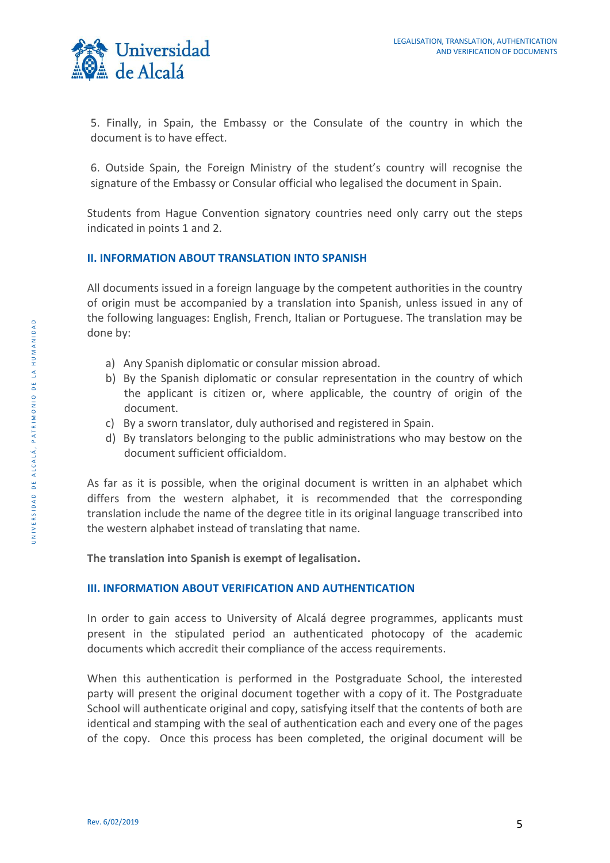

5. Finally, in Spain, the Embassy or the Consulate of the country in which the document is to have effect.

6. Outside Spain, the Foreign Ministry of the student's country will recognise the signature of the Embassy or Consular official who legalised the document in Spain.

Students from Hague Convention signatory countries need only carry out the steps indicated in points 1 and 2.

### <span id="page-4-0"></span>**II. INFORMATION ABOUT TRANSLATION INTO SPANISH**

All documents issued in a foreign language by the competent authorities in the country of origin must be accompanied by a translation into Spanish, unless issued in any of the following languages: English, French, Italian or Portuguese. The translation may be done by:

- a) Any Spanish diplomatic or consular mission abroad.
- b) By the Spanish diplomatic or consular representation in the country of which the applicant is citizen or, where applicable, the country of origin of the document.
- c) By a sworn translator, duly authorised and registered in Spain.
- d) By translators belonging to the public administrations who may bestow on the document sufficient officialdom.

As far as it is possible, when the original document is written in an alphabet which differs from the western alphabet, it is recommended that the corresponding translation include the name of the degree title in its original language transcribed into the western alphabet instead of translating that name.

**The translation into Spanish is exempt of legalisation.**

# <span id="page-4-1"></span>**III. INFORMATION ABOUT VERIFICATION AND AUTHENTICATION**

In order to gain access to University of Alcalá degree programmes, applicants must present in the stipulated period an authenticated photocopy of the academic documents which accredit their compliance of the access requirements.

When this authentication is performed in the Postgraduate School, the interested party will present the original document together with a copy of it. The Postgraduate School will authenticate original and copy, satisfying itself that the contents of both are identical and stamping with the seal of authentication each and every one of the pages of the copy. Once this process has been completed, the original document will be